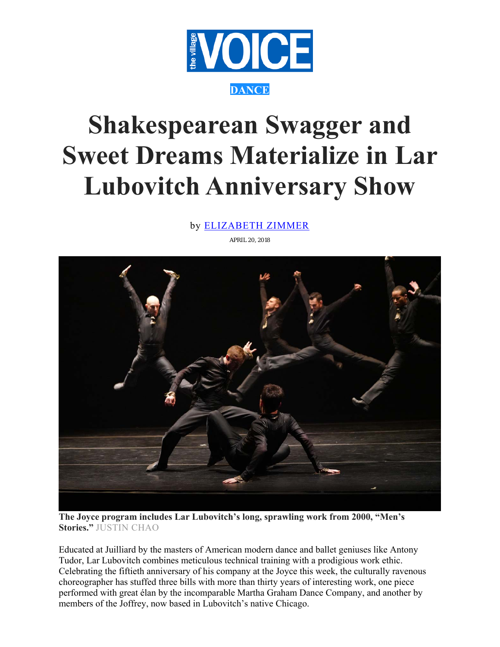

## **Shakespearean Swagger and Sweet Dreams Materialize in Lar Lubovitch Anniversary Show**

by ELIZABETH ZIMMER

APRIL 20, 2018



**The Joyce program includes Lar Lubovitch's long, sprawling work from 2000, "Men's Stories."** JUSTIN CHAO

Educated at Juilliard by the masters of American modern dance and ballet geniuses like Antony Tudor, Lar Lubovitch combines meticulous technical training with a prodigious work ethic. Celebrating the fiftieth anniversary of his company at the Joyce this week, the culturally ravenous choreographer has stuffed three bills with more than thirty years of interesting work, one piece performed with great élan by the incomparable Martha Graham Dance Company, and another by members of the Joffrey, now based in Lubovitch's native Chicago.